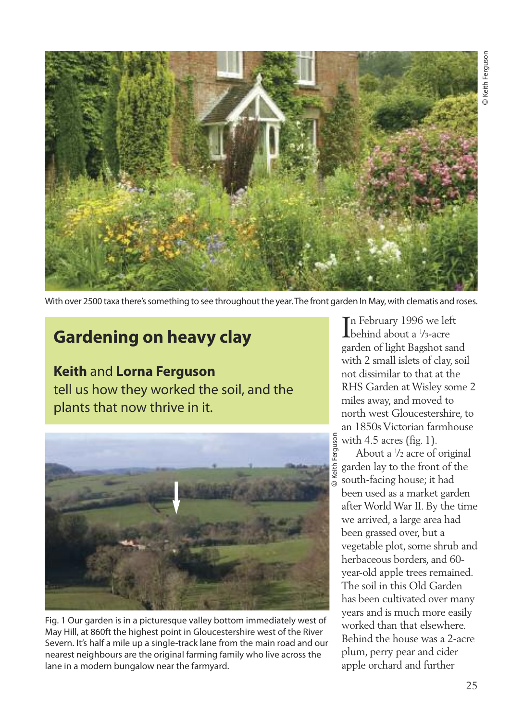

With over 2500 taxa there's something to see throughout the year. The front garden In May, with clematis and roses.

## **Gardening on heavy clay**

**Keith** and **Lorna Ferguson** tell us how they worked the soil, and the plants that now thrive in it.



Fig. 1 Our garden is in a picturesque valley bottom immediately west of May Hill, at 860ft the highest point in Gloucestershire west of the River Severn. It's half a mile up a single-track lane from the main road and our nearest neighbours are the original farming family who live across the lane in a modern bungalow near the farmyard.

In February 1996 we left<br>behind about a <sup>1</sup>/<sub>3</sub>-acre behind about a ¼3-acre garden of light Bagshot sand with 2 small islets of clay, soil not dissimilar to that at the RHS Garden at Wisley some 2 miles away, and moved to north west Gloucestershire, to an 1850s Victorian farmhouse with 4.5 acres (fig. 1).

About a <sup>1</sup> /2 acre of original garden lay to the front of the south-facing house; it had been used as a market garden after World War II. By the time we arrived, a large area had been grassed over, but a vegetable plot, some shrub and herbaceous borders, and 60 year-old apple trees remained. The soil in this Old Garden has been cultivated over many years and is much more easily worked than that elsewhere. Behind the house was a 2-acre plum, perry pear and cider apple orchard and further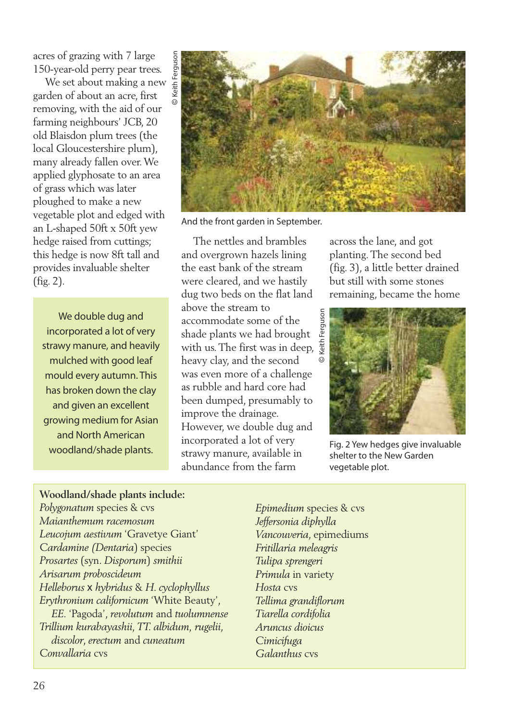acres of grazing with 7 large 150-year-old perry pear trees.

We set about making a new garden of about an acre, first removing, with the aid of our farming neighbours' JCB, 20 old Blaisdon plum trees (the local Gloucestershire plum), many already fallen over.We applied glyphosate to an area of grass which was later ploughed to make a new vegetable plot and edged with an L-shaped 50ft x 50ft yew hedge raised from cuttings; this hedge is now 8ft tall and provides invaluable shelter (fig. 2).

We double dug and incorporated a lot of very strawy manure, and heavily mulched with good leaf mould every autumn. This has broken down the clay and given an excellent growing medium for Asian and North American woodland/shade plants.



And the front garden in September.

The nettles and brambles and overgrown hazels lining the east bank of the stream were cleared, and we hastily dug two beds on the flat land above the stream to accommodate some of the shade plants we had brought with us. The first was in deep, heavy clay, and the second was even more of a challenge as rubble and hard core had been dumped, presumably to improve the drainage. However, we double dug and incorporated a lot of very strawy manure, available in abundance from the farm

across the lane, and got planting.The second bed (fig. 3), a little better drained but still with some stones remaining, became the home



Fig. 2 Yew hedges give invaluable shelter to the New Garden vegetable plot.

## **Woodland/shade plants include:** *Polygonatum* species & cvs

*Maianthemum racemosum Leucojum aestivum* 'Gravetye Giant' *Cardamine (Dentaria*) species *Prosartes* (syn. *Disporum*) *smithii Arisarum proboscideum Helleborus* x *hybridus* & *H. cyclophyllus Erythronium californicum* 'White Beauty', *EE.* 'Pagoda', *revolutum* and *tuolumnense Trillium kurabayashii, TT. albidum, rugelii*, *discolor*, *erectum* and *cuneatum Convallaria* cvs

*Epimedium* species & cvs *Jeffersonia diphylla Vancouveria*, epimediums *Fritillaria meleagris Tulipa sprengeri Primula* in variety *Hosta* cvs *Tellima grandiflorum Tiarella cordifolia Aruncus dioicus Cimicifuga Galanthus* cvs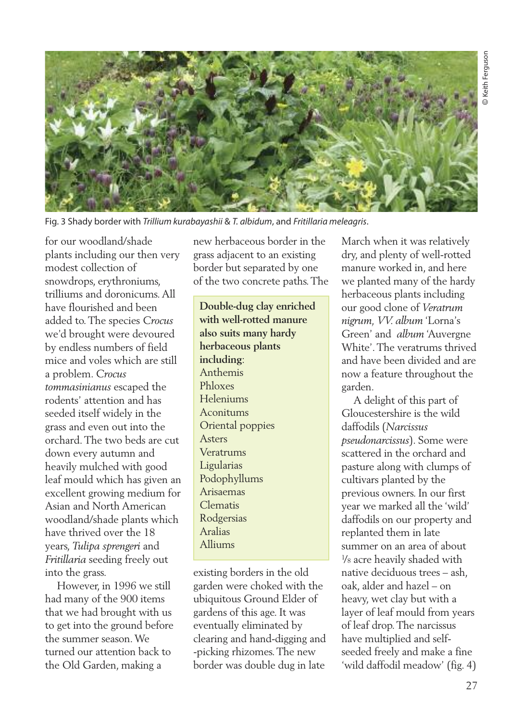

Fig. 3 Shady border with *Trillium kurabayashii* & *T. albidum*, and *Fritillaria meleagris*.

for our woodland/shade plants including our then very modest collection of snowdrops, erythroniums, trilliums and doronicums.All have flourished and been added to.The species *Crocus* we'd brought were devoured by endless numbers of field mice and voles which are still a problem. *Crocus tommasinianus* escaped the rodents' attention and has seeded itself widely in the grass and even out into the orchard.The two beds are cut down every autumn and heavily mulched with good leaf mould which has given an excellent growing medium for Asian and North American woodland/shade plants which have thrived over the 18 years, *Tulipa sprengeri* and *Fritillaria* seeding freely out into the grass.

However, in 1996 we still had many of the 900 items that we had brought with us to get into the ground before the summer season.We turned our attention back to the Old Garden, making a

new herbaceous border in the grass adjacent to an existing border but separated by one of the two concrete paths.The

**Double-dug clay enriched with well-rotted manure also suits many hardy herbaceous plants including**: Anthemis Phloxes Heleniums Aconitums Oriental poppies Asters Veratrums Ligularias Podophyllums Arisaemas Clematis Rodgersias Aralias Alliums

existing borders in the old garden were choked with the ubiquitous Ground Elder of gardens of this age. It was eventually eliminated by clearing and hand-digging and -picking rhizomes.The new border was double dug in late

March when it was relatively dry, and plenty of well-rotted manure worked in, and here we planted many of the hardy herbaceous plants including our good clone of *Veratrum nigrum, VV. album* 'Lorna's Green' and *album* 'Auvergne White'.The veratrums thrived and have been divided and are now a feature throughout the garden.

A delight of this part of Gloucestershire is the wild daffodils (*Narcissus pseudonarcissus*). Some were scattered in the orchard and pasture along with clumps of cultivars planted by the previous owners. In our first year we marked all the 'wild' daffodils on our property and replanted them in late summer on an area of about 1 /8 acre heavily shaded with native deciduous trees – ash, oak, alder and hazel – on heavy, wet clay but with a layer of leaf mould from years of leaf drop.The narcissus have multiplied and selfseeded freely and make a fine 'wild daffodil meadow' (fig. 4)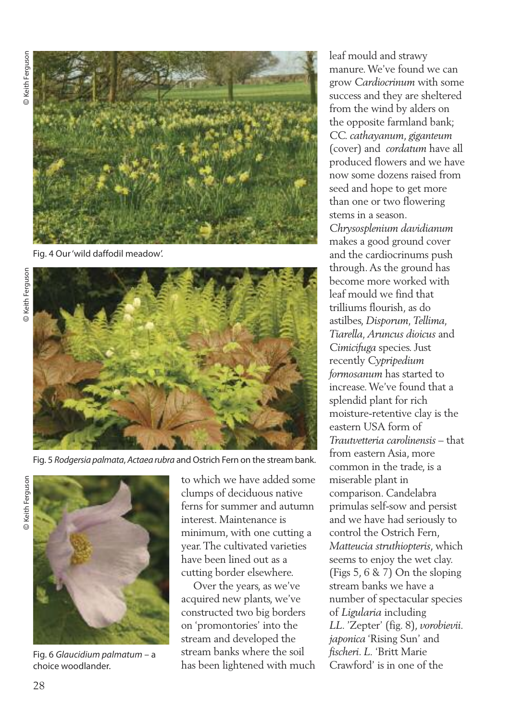© Keith Ferguson Keith Ferguson



Fig. 4 Our'wild daffodil meadow'.



Fig. 5 *Rodgersia palmata, Actaea rubra* and Ostrich Fern on the stream bank.



Fig. 6 *Glaucidium palmatum* – a choice woodlander.

to which we have added some clumps of deciduous native ferns for summer and autumn interest. Maintenance is minimum, with one cutting a year.The cultivated varieties have been lined out as a cutting border elsewhere.

Over the years, as we've acquired new plants, we've constructed two big borders on 'promontories' into the stream and developed the stream banks where the soil has been lightened with much leaf mould and strawy manure.We've found we can grow *Cardiocrinum* with some success and they are sheltered from the wind by alders on the opposite farmland bank; *CC. cathayanum*, *giganteum* (cover) and *cordatum* have all produced flowers and we have now some dozens raised from seed and hope to get more than one or two flowering stems in a season.

*Chrysosplenium davidianum* makes a good ground cover and the cardiocrinums push through.As the ground has become more worked with leaf mould we find that trilliums flourish, as do astilbes, *Disporum, Tellima, Tiarella, Aruncus dioicus* and *Cimicifuga* species. Just recently *Cypripedium formosanum* has started to increase.We've found that a splendid plant for rich moisture-retentive clay is the eastern USA form of *Trautvetteria carolinensis* – that from eastern Asia, more common in the trade, is a miserable plant in comparison. Candelabra primulas self-sow and persist and we have had seriously to control the Ostrich Fern, *Matteucia struthiopteris*, which seems to enjoy the wet clay. (Figs 5, 6 & 7) On the sloping stream banks we have a number of spectacular species of *Ligularia* including *LL*. 'Zepter' (fig. 8), *vorobievii. japonica* 'Rising Sun' and *fischeri*. *L.* 'Britt Marie Crawford' is in one of the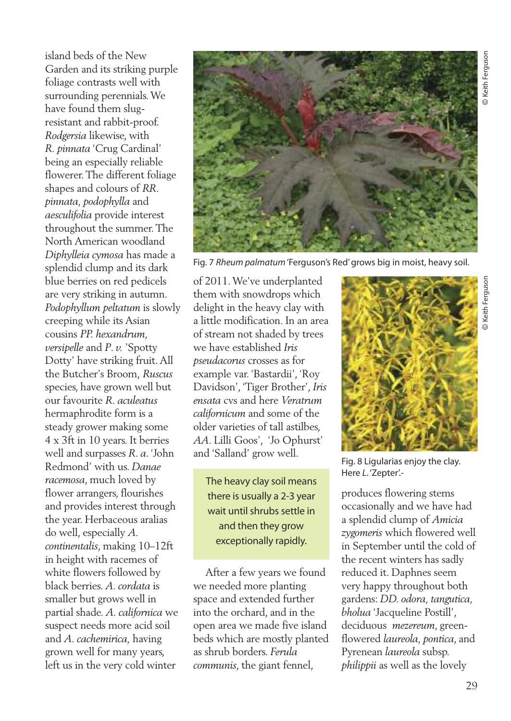island beds of the New Garden and its striking purple foliage contrasts well with surrounding perennials.We have found them slugresistant and rabbit-proof. *Rodgersia* likewise, with *R. pinnata* 'Crug Cardinal' being an especially reliable flowerer.The different foliage shapes and colours of *RR. pinnata, podophylla* and *aesculifolia* provide interest throughout the summer.The North American woodland *Diphylleia cymosa* has made a splendid clump and its dark blue berries on red pedicels are very striking in autumn. *Podophyllum peltatum* is slowly creeping while its Asian cousins *PP. hexandrum, versipelle* and *P*. *v.* 'Spotty Dotty' have striking fruit.All the Butcher's Broom, *Ruscus* species, have grown well but our favourite *R. aculeatus* hermaphrodite form is a steady grower making some 4 x 3ft in 10 years. It berries well and surpasses *R*. *a*. 'John Redmond' with us. *Danae racemosa*, much loved by flower arrangers, flourishes and provides interest through the year. Herbaceous aralias do well, especially *A. continentalis*, making 10–12ft in height with racemes of white flowers followed by black berries. *A. cordata* is smaller but grows well in partial shade. *A. californica* we suspect needs more acid soil and *A. cachemirica,* having grown well for many years, left us in the very cold winter



Fig. 7 *Rheum palmatum*'Ferguson's Red'grows big in moist, heavy soil.

of 2011.We've underplanted them with snowdrops which delight in the heavy clay with a little modification. In an area of stream not shaded by trees we have established *Iris pseudacorus* crosses as for example var. 'Bastardii', 'Roy Davidson', 'Tiger Brother', *Iris ensata* cvs and here *Veratrum californicum* and some of the older varieties of tall astilbes, *AA*. Lilli Goos', 'Jo Ophurst' and 'Salland' grow well.

The heavy clay soil means there is usually a 2-3 year wait until shrubs settle in and then they grow exceptionally rapidly.

After a few years we found we needed more planting space and extended further into the orchard, and in the open area we made five island beds which are mostly planted as shrub borders. *Ferula communis*, the giant fennel,



Fig. 8 Ligularias enjoy the clay. Here *L*. 'Zepter'.-

produces flowering stems occasionally and we have had a splendid clump of *Amicia zygomeris* which flowered well in September until the cold of the recent winters has sadly reduced it. Daphnes seem very happy throughout both gardens: *DD. odora, tangutica, bholua* 'Jacqueline Postill', deciduous *mezereum*, greenflowered *laureola, pontica*, and Pyrenean *laureola* subsp. *philippii* as well as the lovely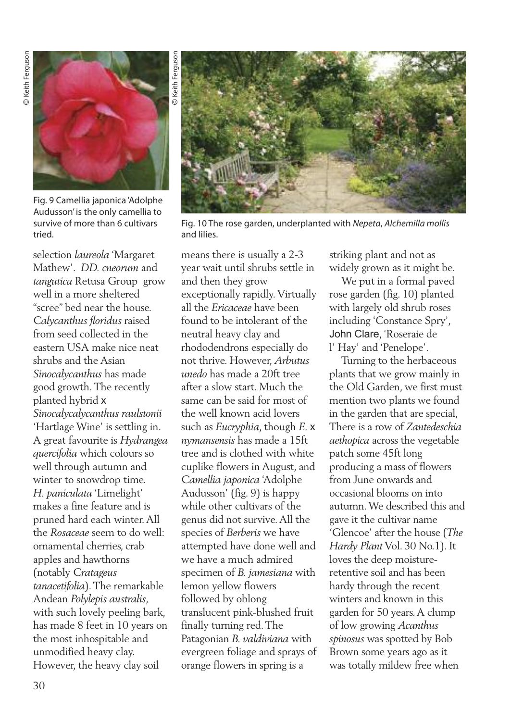

Fig. 9 Camellia japonica 'Adolphe Audusson' is the only camellia to survive of more than 6 cultivars tried.

selection *laureola* 'Margaret Mathew'. *DD. cneorum* and *tangutica* Retusa Group grow well in a more sheltered "scree" bed near the house. *Calycanthus floridus* raised from seed collected in the eastern USA make nice neat shrubs and the Asian *Sinocalycanthus* has made good growth.The recently planted hybrid x *Sinocalycalycanthus raulstonii* 'Hartlage Wine' is settling in. A great favourite is *Hydrangea quercifolia* which colours so well through autumn and winter to snowdrop time. *H. paniculata* 'Limelight' makes a fine feature and is pruned hard each winter.All the *Rosaceae* seem to do well: ornamental cherries, crab apples and hawthorns (notably *Cratageus tanacetifolia*).The remarkable Andean *Polylepis australis*, with such lovely peeling bark, has made 8 feet in 10 years on the most inhospitable and unmodified heavy clay. However, the heavy clay soil



Fig. 10 The rose garden, underplanted with *Nepeta*, *Alchemilla mollis* and lilies.

means there is usually a 2-3 year wait until shrubs settle in and then they grow exceptionally rapidly.Virtually all the *Ericaceae* have been found to be intolerant of the neutral heavy clay and rhododendrons especially do not thrive. However, *Arbutus unedo* has made a 20ft tree after a slow start. Much the same can be said for most of the well known acid lovers such as *Eucryphia*, though *E.* x *nymansensis* has made a 15ft tree and is clothed with white cuplike flowers in August, and *Camellia japonica* 'Adolphe Audusson' (fig. 9) is happy while other cultivars of the genus did not survive.All the species of *Berberis* we have attempted have done well and we have a much admired specimen of *B. jamesiana* with lemon yellow flowers followed by oblong translucent pink-blushed fruit finally turning red.The Patagonian *B. valdiviana* with evergreen foliage and sprays of orange flowers in spring is a

striking plant and not as widely grown as it might be.

We put in a formal paved rose garden (fig. 10) planted with largely old shrub roses including 'Constance Spry', John Clare, 'Roseraie de l' Hay' and 'Penelope'.

Turning to the herbaceous plants that we grow mainly in the Old Garden, we first must mention two plants we found in the garden that are special, There is a row of *Zantedeschia aethopica* across the vegetable patch some 45ft long producing a mass of flowers from June onwards and occasional blooms on into autumn.We described this and gave it the cultivar name 'Glencoe' after the house (*The Hardy Plant* Vol. 30 No.1). It loves the deep moistureretentive soil and has been hardy through the recent winters and known in this garden for 50 years. A clump of low growing *Acanthus spinosus* was spotted by Bob Brown some years ago as it was totally mildew free when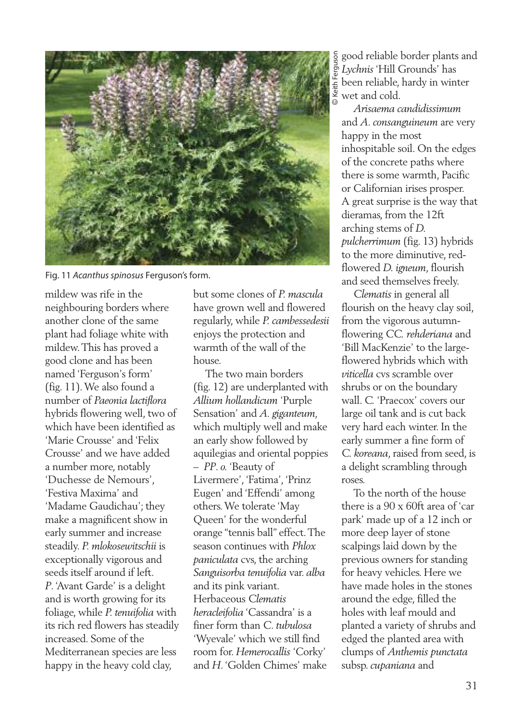

Fig. 11 *Acanthus spinosus* Ferguson's form.

mildew was rife in the neighbouring borders where another clone of the same plant had foliage white with mildew.This has proved a good clone and has been named 'Ferguson's form' (fig. 11).We also found a number of *Paeonia lactiflora* hybrids flowering well, two of which have been identified as 'Marie Crousse' and 'Felix Crousse' and we have added a number more, notably 'Duchesse de Nemours', 'Festiva Maxima' and 'Madame Gaudichau'; they make a magnificent show in early summer and increase steadily. *P. mlokosewitschii* is exceptionally vigorous and seeds itself around if left. *P*.'Avant Garde' is a delight and is worth growing for its foliage, while *P. tenuifolia* with its rich red flowers has steadily increased. Some of the Mediterranean species are less happy in the heavy cold clay,

but some clones of *P. mascula* have grown well and flowered regularly, while *P. cambessedesii* enjoys the protection and warmth of the wall of the house.

The two main borders (fig. 12) are underplanted with *Allium hollandicum* 'Purple Sensation' and *A. giganteum,* which multiply well and make an early show followed by aquilegias and oriental poppies – *PP*. *o.* 'Beauty of Livermere', 'Fatima', 'Prinz Eugen' and 'Effendi' among others.We tolerate 'May Queen' for the wonderful orange "tennis ball" effect.The season continues with *Phlox paniculata* cvs, the arching *Sanguisorba tenuifolia* var. *alba* and its pink variant. Herbaceous *Clematis heracleifolia* 'Cassandra' is a finer form than *C*. *tubulosa* 'Wyevale' which we still find room for. *Hemerocallis* 'Corky' and *H*.'Golden Chimes' make

good reliable border plants and *Lychnis*'Hill Grounds' has been reliable, hardy in winter wet and cold. ©Keith Ferguson

*Arisaema candidissimum* and *A. consanguineum* are very happy in the most inhospitable soil. On the edges of the concrete paths where there is some warmth, Pacific or Californian irises prosper. A great surprise is the way that dieramas, from the 12ft arching stems of *D. pulcherrimum* (fig. 13) hybrids to the more diminutive, redflowered *D. igneum*, flourish and seed themselves freely.

*Clematis* in general all flourish on the heavy clay soil, from the vigorous autumnflowering *CC. rehderiana* and 'Bill MacKenzie' to the largeflowered hybrids which with *viticella* cvs scramble over shrubs or on the boundary wall. *C.* 'Praecox' covers our large oil tank and is cut back very hard each winter. In the early summer a fine form of *C. koreana*, raised from seed, is a delight scrambling through roses.

To the north of the house there is a 90 x 60ft area of 'car park' made up of a 12 inch or more deep layer of stone scalpings laid down by the previous owners for standing for heavy vehicles. Here we have made holes in the stones around the edge, filled the holes with leaf mould and planted a variety of shrubs and edged the planted area with clumps of *Anthemis punctata* subsp.*cupaniana* and